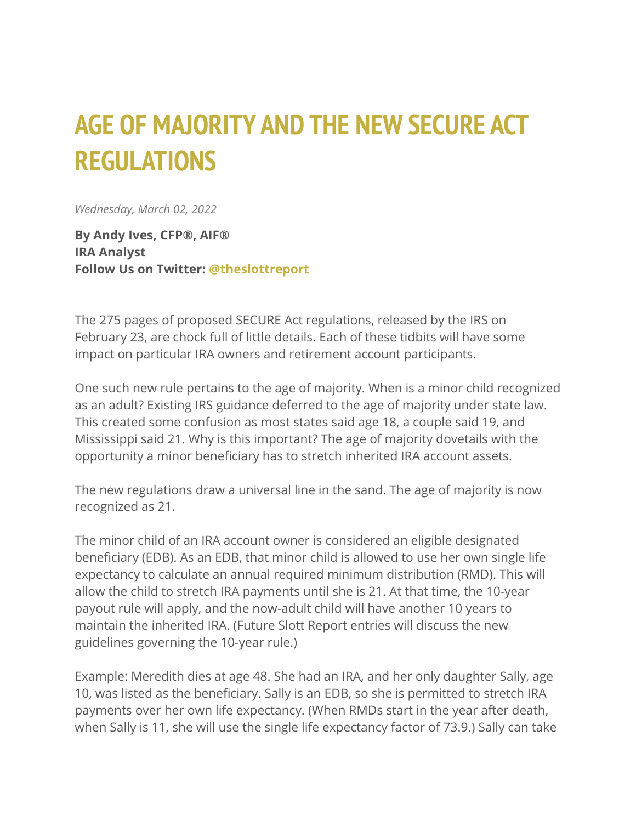## **AGE OF MAJORITY AND THE NEW SECURE ACT REGULATIONS**

*Wednesday, March 02, 2022*

**By Andy Ives, CFP®, AIF® IRA Analyst Follow Us on Twitter: [@theslottreport](https://twitter.com/theslottreport)**

The 275 pages of proposed SECURE Act regulations, released by the IRS on February 23, are chock full of little details. Each of these tidbits will have some impact on particular IRA owners and retirement account participants.

One such new rule pertains to the age of majority. When is a minor child recognized as an adult? Existing IRS guidance deferred to the age of majority under state law. This created some confusion as most states said age 18, a couple said 19, and Mississippi said 21. Why is this important? The age of majority dovetails with the opportunity a minor beneficiary has to stretch inherited IRA account assets.

The new regulations draw a universal line in the sand. The age of majority is now recognized as 21.

The minor child of an IRA account owner is considered an eligible designated beneficiary (EDB). As an EDB, that minor child is allowed to use her own single life expectancy to calculate an annual required minimum distribution (RMD). This will allow the child to stretch IRA payments until she is 21. At that time, the 10-year payout rule will apply, and the now-adult child will have another 10 years to maintain the inherited IRA. (Future Slott Report entries will discuss the new guidelines governing the 10-year rule.)

Example: Meredith dies at age 48. She had an IRA, and her only daughter Sally, age 10, was listed as the beneficiary. Sally is an EDB, so she is permitted to stretch IRA payments over her own life expectancy. (When RMDs start in the year after death, when Sally is 11, she will use the single life expectancy factor of 73.9.) Sally can take